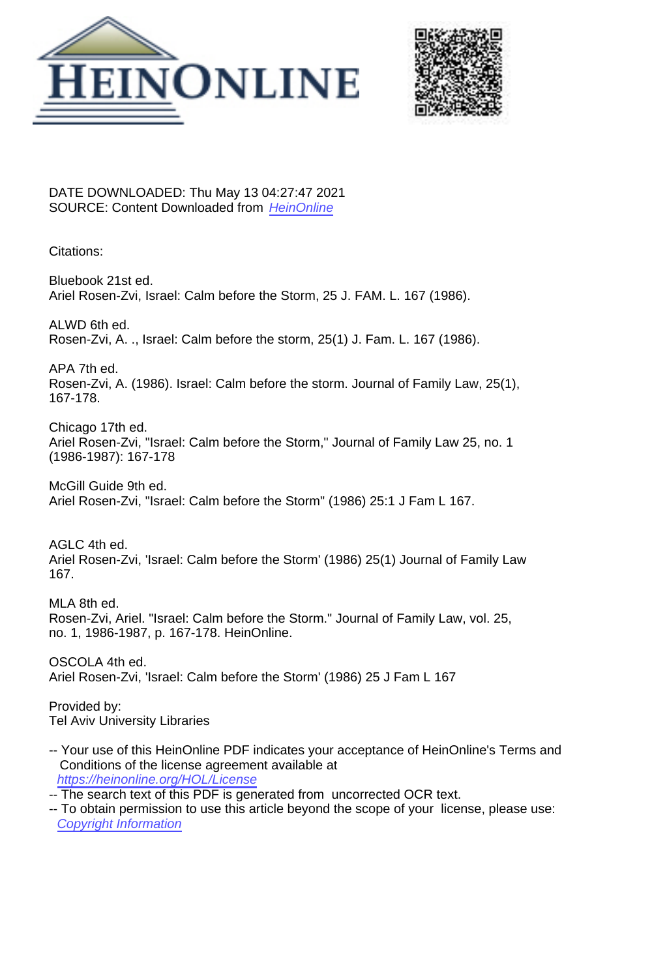



DATE DOWNLOADED: Thu May 13 04:27:47 2021 SOURCE: Content Downloaded from [HeinOnline](https://heinonline.org/HOL/Page?handle=hein.journals/branlaj25&collection=journals&id=175&startid=&endid=186)

Citations:

Bluebook 21st ed. Ariel Rosen-Zvi, Israel: Calm before the Storm, 25 J. FAM. L. 167 (1986).

ALWD 6th ed. Rosen-Zvi, A. ., Israel: Calm before the storm, 25(1) J. Fam. L. 167 (1986).

APA 7th ed. Rosen-Zvi, A. (1986). Israel: Calm before the storm. Journal of Family Law, 25(1), 167-178.

Chicago 17th ed. Ariel Rosen-Zvi, "Israel: Calm before the Storm," Journal of Family Law 25, no. 1 (1986-1987): 167-178

McGill Guide 9th ed. Ariel Rosen-Zvi, "Israel: Calm before the Storm" (1986) 25:1 J Fam L 167.

AGLC 4th ed. Ariel Rosen-Zvi, 'Israel: Calm before the Storm' (1986) 25(1) Journal of Family Law 167.

MLA 8th ed. Rosen-Zvi, Ariel. "Israel: Calm before the Storm." Journal of Family Law, vol. 25, no. 1, 1986-1987, p. 167-178. HeinOnline.

OSCOLA 4th ed. Ariel Rosen-Zvi, 'Israel: Calm before the Storm' (1986) 25 J Fam L 167

Provided by: Tel Aviv University Libraries

- -- Your use of this HeinOnline PDF indicates your acceptance of HeinOnline's Terms and Conditions of the license agreement available at <https://heinonline.org/HOL/License>
- -- The search text of this PDF is generated from uncorrected OCR text.
- -- To obtain permission to use this article beyond the scope of your license, please use: [Copyright Information](https://www.copyright.com/ccc/basicSearch.do?operation=go&searchType=0&lastSearch=simple&all=on&titleOrStdNo=1531-0183)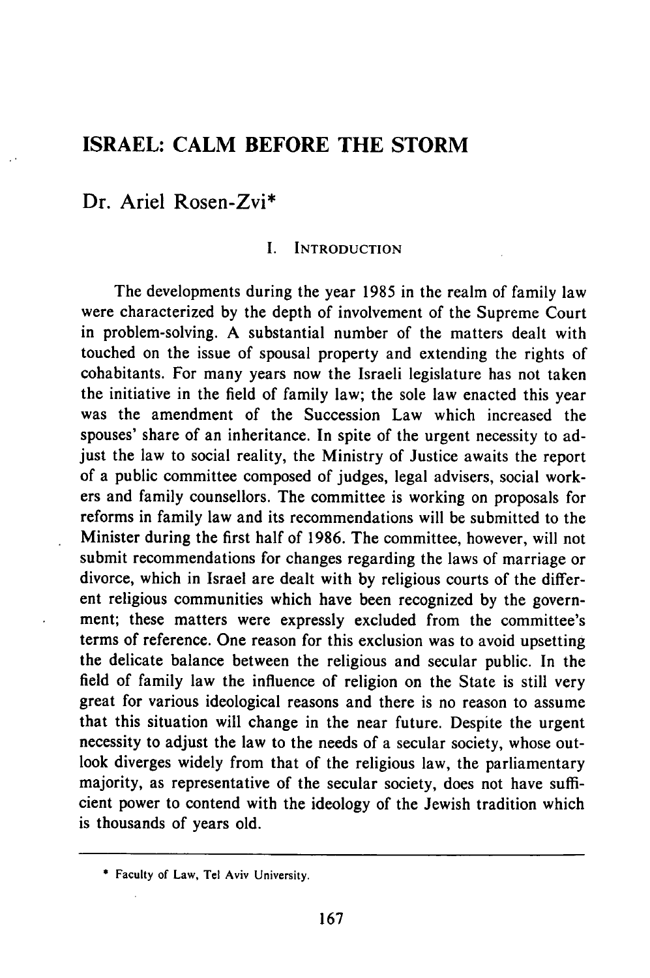# **ISRAEL: CALM BEFORE THE STORM**

## Dr. Ariel Rosen-Zvi\*

## I. INTRODUCTION

The developments during the year 1985 in the realm of family law were characterized by the depth of involvement of the Supreme Court in problem-solving. A substantial number of the matters dealt with touched on the issue of spousal property and extending the rights of cohabitants. For many years now the Israeli legislature has not taken the initiative in the field of family law; the sole law enacted this year was the amendment of the Succession Law which increased the spouses' share of an inheritance. In spite of the urgent necessity to adjust the law to social reality, the Ministry of Justice awaits the report of a public committee composed of judges, legal advisers, social workers and family counsellors. The committee is working on proposals for reforms in family law and its recommendations will be submitted to the Minister during the first half of 1986. The committee, however, will not submit recommendations for changes regarding the laws of marriage or divorce, which in Israel are dealt with by religious courts of the different religious communities which have been recognized by the government; these matters were expressly excluded from the committee's terms of reference. One reason for this exclusion was to avoid upsetting the delicate balance between the religious and secular public. In the field of family law the influence of religion on the State is still very great for various ideological reasons and there is no reason to assume that this situation will change in the near future. Despite the urgent necessity to adjust the law to the needs of a secular society, whose outlook diverges widely from that of the religious law, the parliamentary majority, as representative of the secular society, does not have sufficient power to contend with the ideology of the Jewish tradition which is thousands of years old.

**<sup>\*</sup>** Faculty of Law, Tel Aviv University.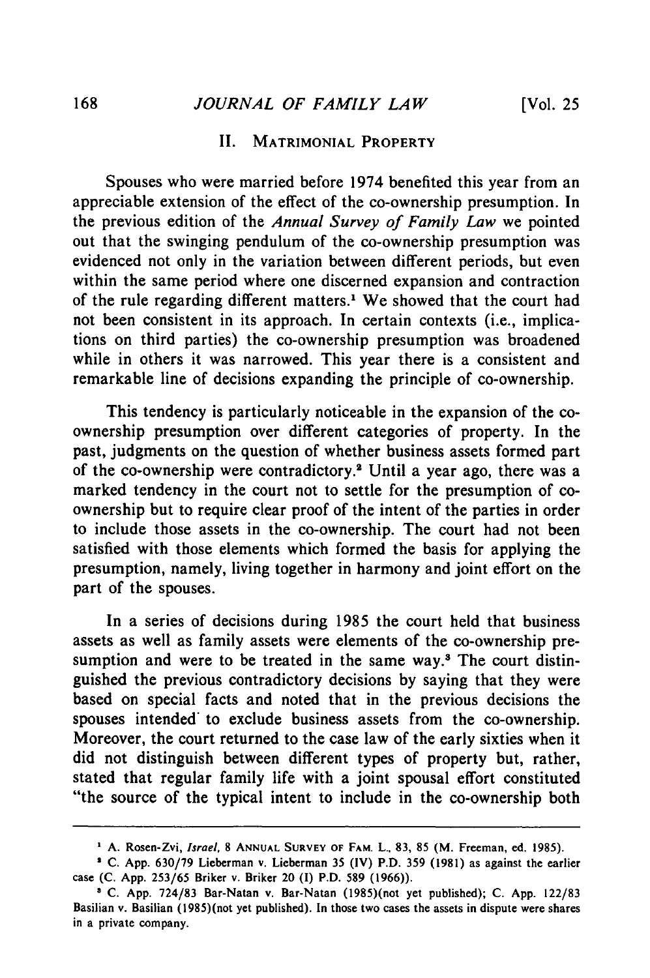## *JOURNAL OF FAMILY LAW*

### II. MATRIMONIAL **PROPERTY**

Spouses who were married before 1974 benefited this year from an appreciable extension of the effect of the co-ownership presumption. In the previous edition of the *Annual Survey of Family Law* we pointed out that the swinging pendulum of the co-ownership presumption was evidenced not only in the variation between different periods, but even within the same period where one discerned expansion and contraction of the rule regarding different matters.' We showed that the court had not been consistent in its approach. In certain contexts (i.e., implications on third parties) the co-ownership presumption was broadened while in others it was narrowed. This year there is a consistent and remarkable line of decisions expanding the principle of co-ownership.

This tendency is particularly noticeable in the expansion of the coownership presumption over different categories of property. In the past, judgments on the question of whether business assets formed part of the co-ownership were contradictory.2 Until a year ago, there was a marked tendency in the court not to settle for the presumption of coownership but to require clear proof of the intent of the parties in order to include those assets in the co-ownership. The court had not been satisfied with those elements which formed the basis for applying the presumption, namely, living together in harmony and joint effort on the part of the spouses.

In a series of decisions during **1985** the court held that business assets as well as family assets were elements of the co-ownership presumption and were to be treated in the same way.<sup>3</sup> The court distinguished the previous contradictory decisions **by** saying that they were based on special facts and noted that in the previous decisions the spouses intended to exclude business assets from the co-ownership. Moreover, the court returned to the case law of the early sixties when it did not distinguish between different types of property but, rather, stated that regular family life with a joint spousal effort constituted "the source of the typical intent to include in the co-ownership both

**A.** Rosen-Zvi, *Israel,* **8 ANNUAL SURVEY OF** FAM. **L.. 83, 85** (M. Freeman, **ed. 1985).**

**C. App. 630/79** Lieberman v. Lieberman **35** (IV) P.D. **359 (1981)** as against **the** earlier case **(C. App. 253/65** Briker v. Briker 20 **(I)** P.D. **589 (1966)).**

**<sup>1</sup> C. App. 724/83** Bar-Natan v. Bar-Natan (1985)(not **yet** published); **C. App. 122/83** Basilian v. Basilian (1985)(not **yet** published). In those two **cases** the assets in dispute were shares in a private company.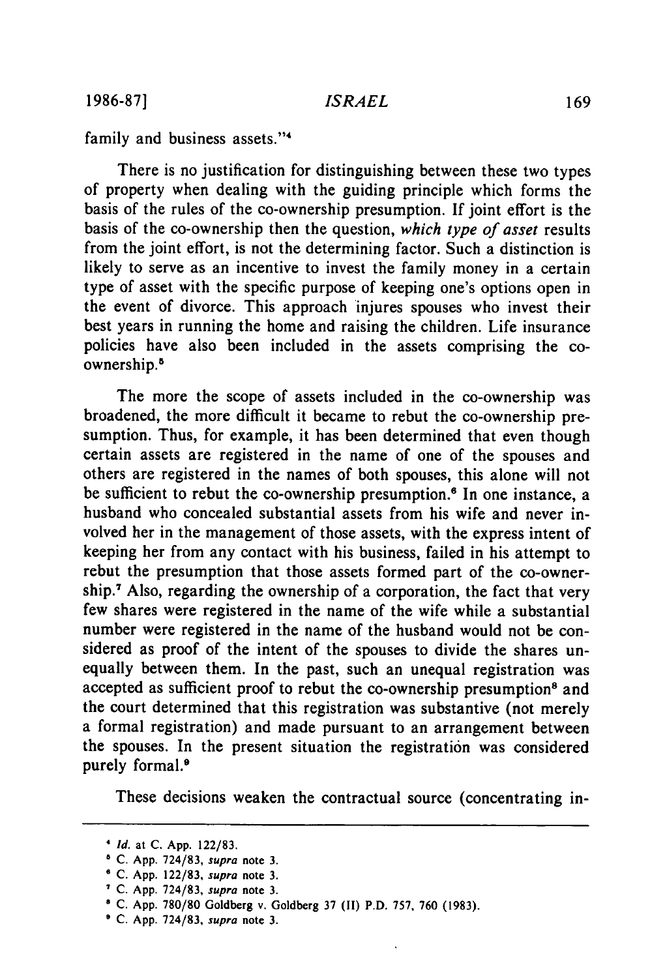**1986-87]**

*ISRAEL*

family and business assets."<sup>4</sup>

There is no justification for distinguishing between these two types of property when dealing with the guiding principle which forms the basis of the rules of the co-ownership presumption. If joint effort is the basis of the co-ownership then the question, *which type of asset* results from the joint effort, is not the determining factor. Such a distinction is likely to serve as an incentive to invest the family money in a certain type of asset with the specific purpose of keeping one's options open in the event of divorce. This approach injures spouses who invest their best years in running the home and raising the children. Life insurance policies have also been included in the assets comprising the coownership.'

The more the scope of assets included in the co-ownership was broadened, the more difficult it became to rebut the co-ownership presumption. Thus, for example, it has been determined that even though certain assets are registered in the name of one of the spouses and others are registered in the names of both spouses, this alone will not be sufficient to rebut the co-ownership presumption.<sup>6</sup> In one instance, a husband who concealed substantial assets from his wife and never involved her in the management of those assets, with the express intent of keeping her from any contact with his business, failed in his attempt to rebut the presumption that those assets formed part of the co-ownership.7 Also, regarding the ownership of a corporation, the fact that very few shares were registered in the name of the wife while a substantial number were registered in the name of the husband would not be considered as proof of the intent of the spouses to divide the shares unequally between them. In the past, such an unequal registration was accepted as sufficient proof to rebut the co-ownership presumption<sup>8</sup> and the court determined that this registration was substantive (not merely a formal registration) and made pursuant to an arrangement between the spouses. In the present situation the registration was considered purely formal.<sup>9</sup>

These decisions weaken the contractual source (concentrating in-

*Id.* at **C. App. 122/83.**

**C. App. 724/83,** supra note **3.**

**<sup>O</sup>C. App. 122/83,** supra note **3.**

**<sup>7</sup> C. App. 724/83,** supra note **3.**

**<sup>8</sup> C. App. 780/80** Goldberg v. Goldberg **37 (II)** P.D. **757, 760 (1983).**

**<sup>\*</sup> C. App. 724/83, supra** note **3.**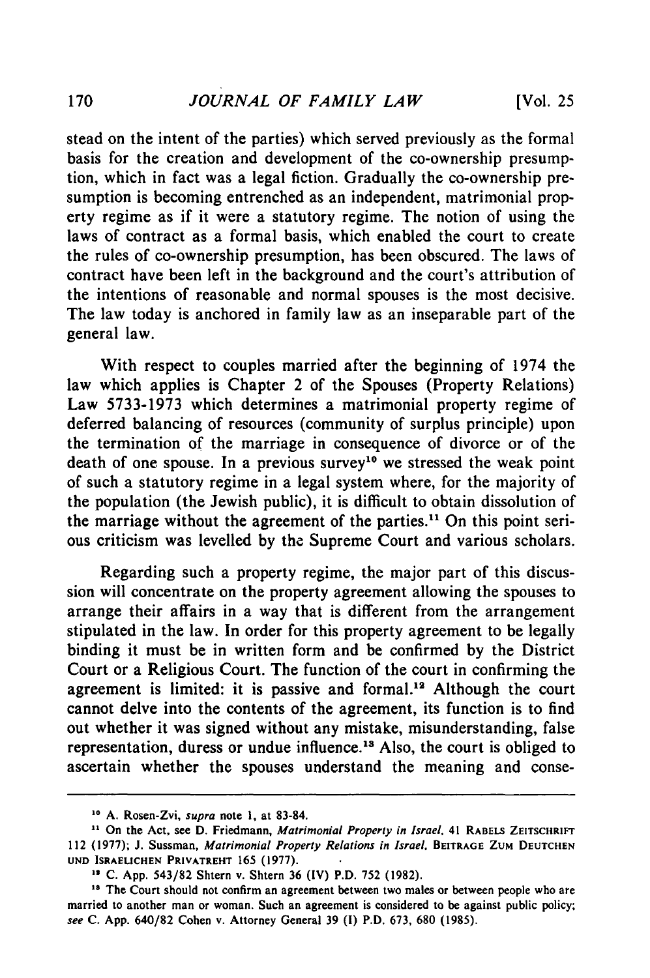stead on the intent of the parties) which served previously as the formal basis for the creation and development of the co-ownership presumption, which in fact was a legal fiction. Gradually the co-ownership presumption is becoming entrenched as an independent, matrimonial property regime as if it were a statutory regime. The notion of using the laws of contract as a formal basis, which enabled the court to create the rules of co-ownership presumption, has been obscured. The laws of contract have been left in the background and the court's attribution of the intentions of reasonable and normal spouses is the most decisive. The law today is anchored in family law as an inseparable part of the general law.

With respect to couples married after the beginning of 1974 the law which applies is Chapter 2 of the Spouses (Property Relations) Law 5733-1973 which determines a matrimonial property regime of deferred balancing of resources (community of surplus principle) upon the termination of the marriage in consequence of divorce or of the death of one spouse. In a previous survey<sup>10</sup> we stressed the weak point of such a statutory regime in a legal system where, for the majority of the population (the Jewish public), it is difficult to obtain dissolution of the marriage without the agreement of the parties.<sup>11</sup> On this point serious criticism was levelled by the Supreme Court and various scholars.

Regarding such a property regime, the major part of this discussion will concentrate on the property agreement allowing the spouses to arrange their affairs in a way that is different from the arrangement stipulated in the law. In order for this property agreement to be legally binding it must be in written form and be confirmed by the District Court or a Religious Court. The function of the court in confirming the agreement is limited: it is passive and formal.<sup>12</sup> Although the court cannot delve into the contents of the agreement, its function is to find out whether it was signed without any mistake, misunderstanding, false representation, duress or undue influence.<sup>18</sup> Also, the court is obliged to ascertain whether the spouses understand the meaning and conse-

**<sup>10</sup> A. Rosen-Zvi, supra note i, at 83-84.**

**<sup>&</sup>quot;** On the **Act, see D.** Friedmann, Matrimonial *Property in Israel,* 41 **RABELS ZEITSCHRIFT** 112 **(1977); J.** Sussman, Matrimonial Property Relations in *Israel,* BEITRAGE **ZUM DEUTCHEN UND ISRAELICHEN PRIVATREHT 165 (1977).**

**<sup>&</sup>quot; C. App.** 543/82 Shtern v. Shtern **36** (IV) P.D. **752 (1982).**

<sup>&</sup>lt;sup>18</sup> The Court should not confirm an agreement between two males or between people who are married to another man or woman. Such an agreement is considered to be against public policy; *see* **C. App.** 640/82 Cohen v. Attorney General **39 (1)** P.D. **673, 680 (1985).**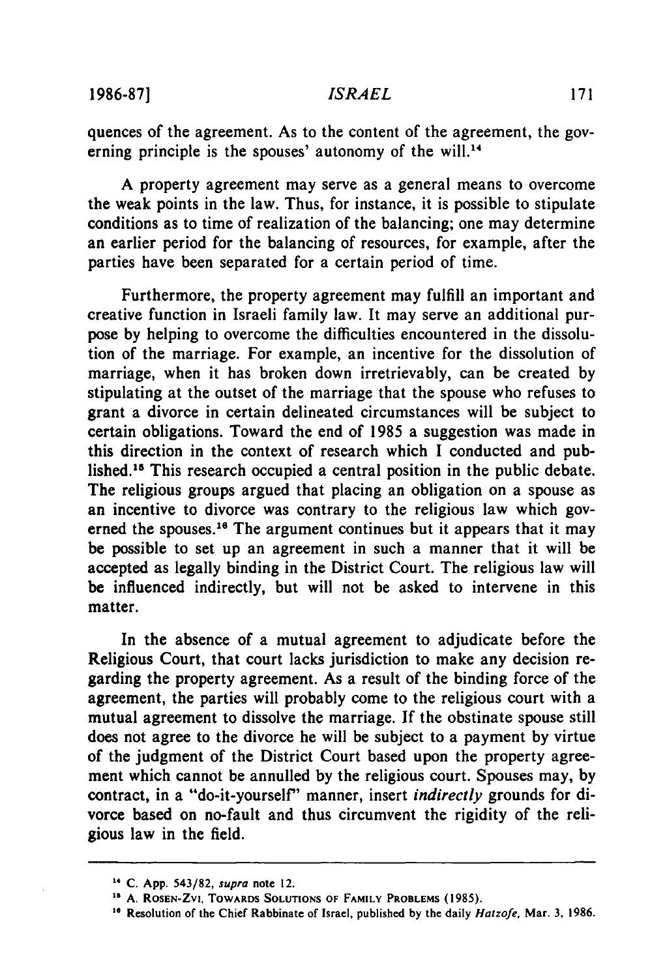#### *ISRAEL*

quences of the agreement. As to the content of the agreement, the governing principle is the spouses' autonomy of the will.<sup>14</sup>

A property agreement may serve as a general means to overcome the weak points in the law. Thus, for instance, it is possible to stipulate conditions as to time of realization of the balancing; one may determine an earlier period for the balancing of resources, for example, after the parties have been separated for a certain period of time.

Furthermore, the property agreement may fulfill an important and creative function in Israeli family law. It may serve an additional purpose by helping to overcome the difficulties encountered in the dissolution of the marriage. For example, an incentive for the dissolution of marriage, when it has broken down irretrievably, can be created by stipulating at the outset of the marriage that the spouse who refuses to grant a divorce in certain delineated circumstances will be subject to certain obligations. Toward the end of 1985 a suggestion was made in this direction in the context of research which I conducted and published.15 This research occupied a central position in the public debate. The religious groups argued that placing an obligation on a spouse as an incentive to divorce was contrary to the religious law which governed the spouses.<sup>16</sup> The argument continues but it appears that it may be possible to set up an agreement in such a manner that it will be accepted as legally binding in the District Court. The religious law will be influenced indirectly, but will not be asked to intervene in this matter.

In the absence of a mutual agreement to adjudicate before the Religious Court, that court lacks jurisdiction to make any decision regarding the property agreement. As a result of the binding force of the agreement, the parties will probably come to the religious court with a mutual agreement to dissolve the marriage. If the obstinate spouse still does not agree to the divorce he will be subject to a payment by virtue of the judgment of the District Court based upon the property agreement which cannot be annulled by the religious court. Spouses may, by contract, in a "do-it-yourself" manner, insert *indirectly* grounds for divorce based on no-fault and thus circumvent the rigidity of the religious law in the field.

**<sup>14</sup>C. App. 543/82,** *supra* note **12.**

**<sup>&</sup>quot; A. ROSEN-ZVI, TOWARDS SOLUTIONS OF FAMILY PROBLEMS (1985).**

<sup>&</sup>lt;sup>16</sup> Resolution of the Chief Rabbinate of Israel, published by the daily *Hatzofe*, Mar. 3, 1986.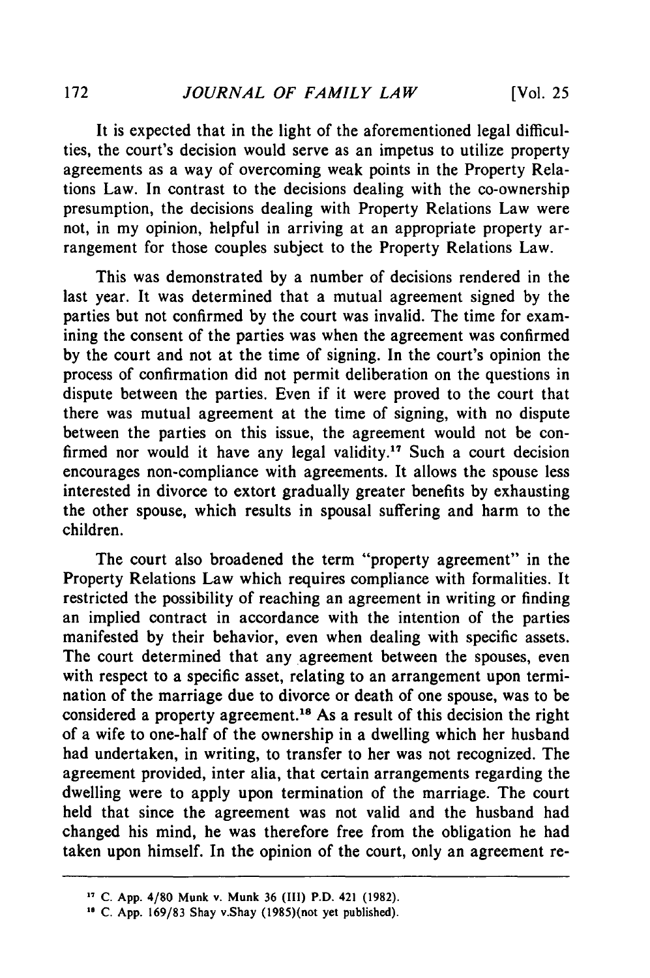It is expected that in the light of the aforementioned legal difficulties, the court's decision would serve as an impetus to utilize property agreements as a way of overcoming weak points in the Property Relations Law. In contrast to the decisions dealing with the co-ownership presumption, the decisions dealing with Property Relations Law were not, in my opinion, helpful in arriving at an appropriate property arrangement for those couples subject to the Property Relations Law.

This was demonstrated by a number of decisions rendered in the last year. It was determined that a mutual agreement signed by the parties but not confirmed by the court was invalid. The time for examining the consent of the parties was when the agreement was confirmed by the court and not at the time of signing. In the court's opinion the process of confirmation did not permit deliberation on the questions in dispute between the parties. Even if it were proved to the court that there was mutual agreement at the time of signing, with no dispute between the parties on this issue, the agreement would not be confirmed nor would it have any legal validity.<sup>17</sup> Such a court decision encourages non-compliance with agreements. It allows the spouse less interested in divorce to extort gradually greater benefits by exhausting the other spouse, which results in spousal suffering and harm to the children.

The court also broadened the term "property agreement" in the Property Relations Law which requires compliance with formalities. It restricted the possibility of reaching an agreement in writing or finding an implied contract in accordance with the intention of the parties manifested by their behavior, even when dealing with specific assets. The court determined that any agreement between the spouses, even with respect to a specific asset, relating to an arrangement upon termination of the marriage due to divorce or death of one spouse, was to be considered a property agreement.<sup>18</sup> As a result of this decision the right of a wife to one-half of the ownership in a dwelling which her husband had undertaken, in writing, to transfer to her was not recognized. The agreement provided, inter alia, that certain arrangements regarding the dwelling were to apply upon termination of the marriage. The court held that since the agreement was not valid and the husband had changed his mind, he was therefore free from the obligation he had taken upon himself. In the opinion of the court, only an agreement re-

**<sup>&</sup>quot; C. App. 4/80 Munk v. Munk 36 (III) P.D. 421 (1982).**

<sup>&</sup>lt;sup>18</sup> C. App. 169/83 Shay v.Shay (1985)(not yet published).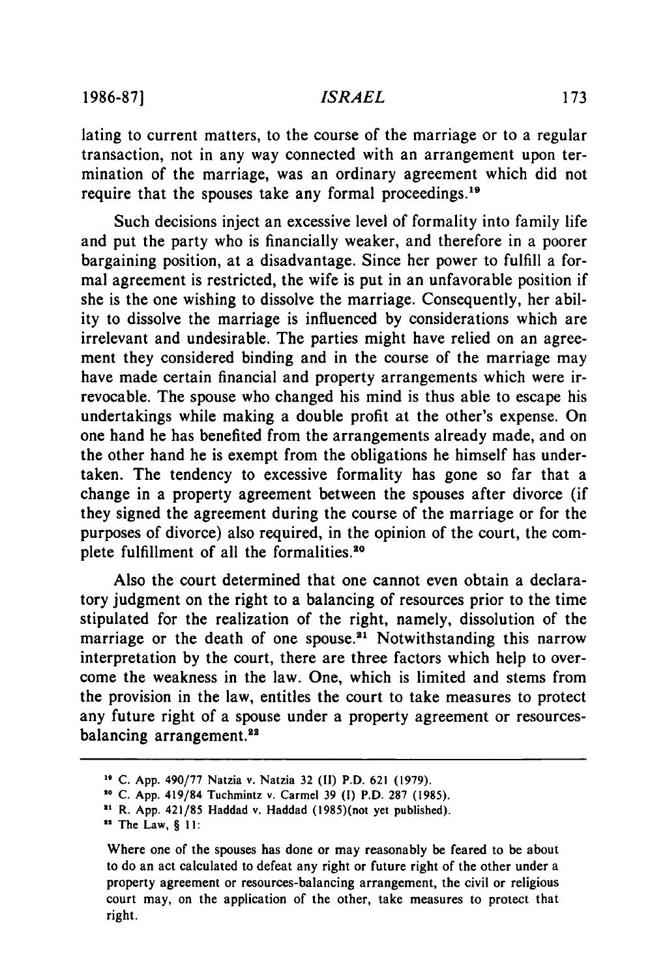#### *ISRAEL*

lating to current matters, to the course of the marriage or to a regular transaction, not in any way connected with an arrangement upon termination of the marriage, was an ordinary agreement which did not require that the spouses take any formal proceedings.<sup>19</sup>

Such decisions inject an excessive level of formality into family life and put the party who is financially weaker, and therefore in a poorer bargaining position, at a disadvantage. Since her power to fulfill a formal agreement is restricted, the wife is put in an unfavorable position if she is the one wishing to dissolve the marriage. Consequently, her ability to dissolve the marriage is influenced by considerations which are irrelevant and undesirable. The parties might have relied on an agreement they considered binding and in the course of the marriage may have made certain financial and property arrangements which were irrevocable. The spouse who changed his mind is thus able to escape his undertakings while making a double profit at the other's expense. On one hand he has benefited from the arrangements already made, and on the other hand he is exempt from the obligations he himself has undertaken. The tendency to excessive formality has gone so far that a change in a property agreement between the spouses after divorce (if they signed the agreement during the course of the marriage or for the purposes of divorce) also required, in the opinion of the court, the complete fulfillment of all the formalities.<sup>20</sup>

Also the court determined that one cannot even obtain a declaratory judgment on the right to a balancing of resources prior to the time stipulated for the realization of the right, namely, dissolution of the marriage or the death of one spouse.<sup>21</sup> Notwithstanding this narrow interpretation by the court, there are three factors which help to overcome the weakness in the law. One, which is limited and stems from the provision in the law, entitles the court to take measures to protect any future right of a spouse under a property agreement or resourcesbalancing arrangement.<sup>22</sup>

**<sup>19</sup> C.** App. 490/77 Natzia v. Natzia **32 (11)** P.D. **621 (1979).**

**<sup>1,</sup> C.** App. 419/84 Tuchmintz v. Carmel **39 (1)** P.D. **287 (1985).**

<sup>&</sup>lt;sup>21</sup> R. App. 421/85 Haddad v. Haddad (1985)(not yet published).

The Law, § **11:**

Where one of the spouses has done or may reasonably be feared to be about to do an act calculated to defeat any right or future right of the other under a property agreement or resources-balancing arrangement, the civil or religious court may, on the application of the other, take measures to protect that right.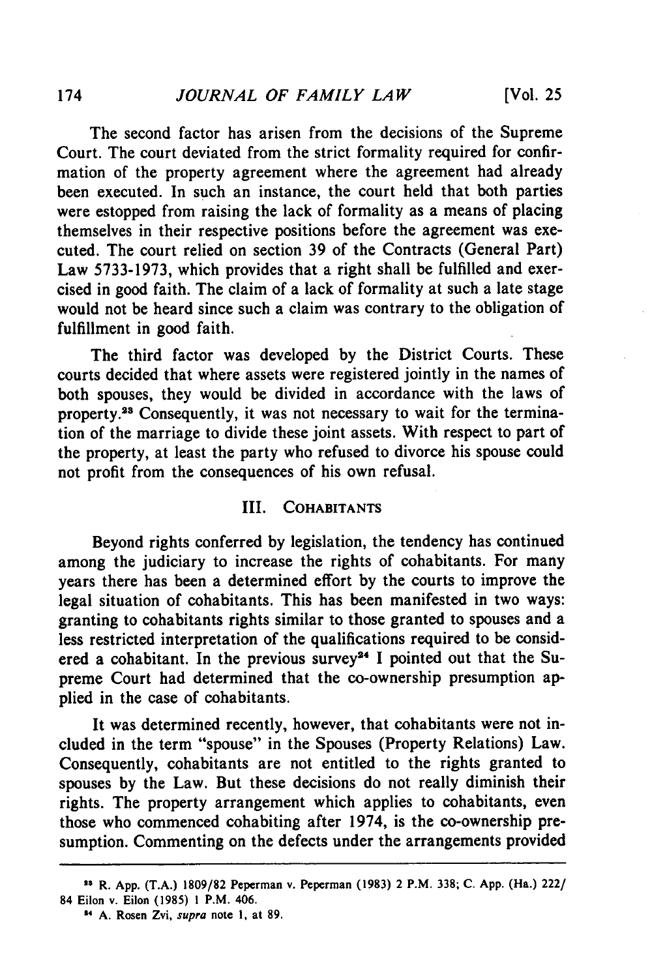The second factor has arisen from the decisions of the Supreme Court. The court deviated from the strict formality required for confirmation of the property agreement where the agreement had already been executed. In such an instance, the court held that both parties were estopped from raising the lack of formality as a means of placing themselves in their respective positions before the agreement was executed. The court relied on section 39 of the Contracts (General Part) Law 5733-1973, which provides that a right shall be fulfilled and exercised in good faith. The claim of a lack of formality at such a late stage would not be heard since such a claim was contrary to the obligation of fulfillment in good faith.

The third factor was developed by the District Courts. These courts decided that where assets were registered jointly in the names of both spouses, they would be divided in accordance with the laws of property.<sup>23</sup> Consequently, it was not necessary to wait for the termination of the marriage to divide these joint assets. With respect to part of the property, at least the party who refused to divorce his spouse could not profit from the consequences of his own refusal.

## III. **COHABITANTS**

Beyond rights conferred **by** legislation, the tendency has continued among the judiciary to increase the rights of cohabitants. For many years there has been a determined effort by the courts to improve the legal situation of cohabitants. This has been manifested in two ways: granting to cohabitants rights similar to those granted to spouses and a less restricted interpretation of the qualifications required to be considered a cohabitant. In the previous survey<sup>24</sup> I pointed out that the Supreme Court had determined that the co-ownership presumption applied in the case of cohabitants.

It was determined recently, however, that cohabitants were not included in the term "spouse" in the Spouses (Property Relations) Law. Consequently, cohabitants are not entitled to the rights granted to spouses by the Law. But these decisions do not really diminish their rights. The property arrangement which applies to cohabitants, even those who commenced cohabiting after 1974, is the co-ownership presumption. Commenting on the defects under the arrangements provided

**<sup>&#</sup>x27;1 R. App. (T.A.) 1809/82 Peperman v. Peperman (1983) 2** P.M. **338; C. App. (Ha.) 222/ 84 Eilon v. Eilon (1985) 1 P.M. 406.**

**<sup>24</sup>A. Rosen Zvi, supra note 1, at 89.**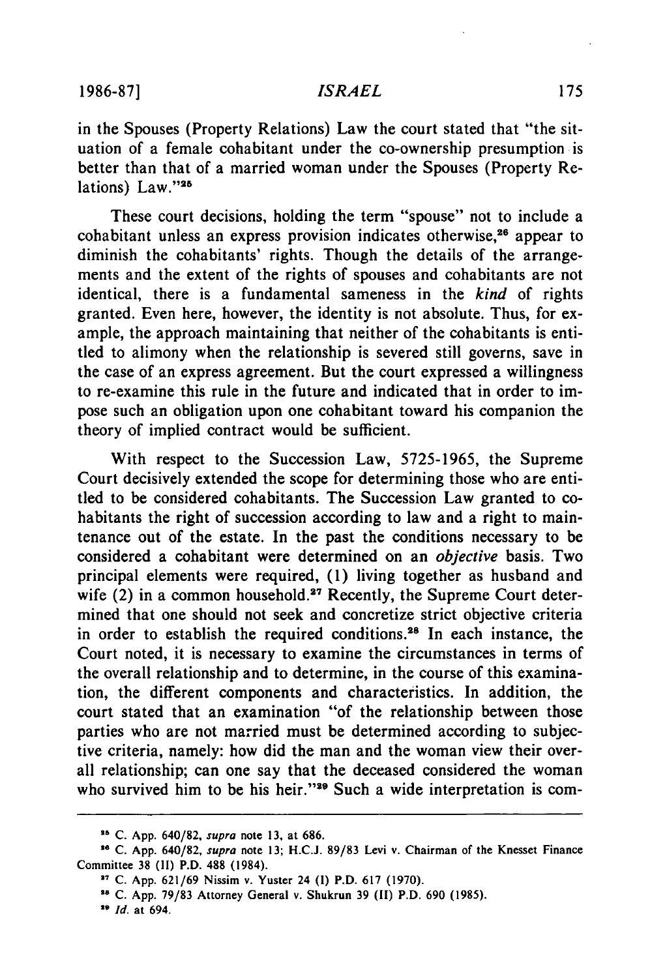### *ISRAEL*

in the Spouses (Property Relations) Law the court stated that "the situation of a female cohabitant under the co-ownership presumption is better than that of a married woman under the Spouses (Property Relations) Law."28

These court decisions, holding the term "spouse" not to include a cohabitant unless an express provision indicates otherwise,<sup>26</sup> appear to diminish the cohabitants' rights. Though the details of the arrangements and the extent of the rights of spouses and cohabitants are not identical, there is a fundamental sameness in the *kind* of rights granted. Even here, however, the identity is not absolute. Thus, for example, the approach maintaining that neither of the cohabitants is entitled to alimony when the relationship is severed still governs, save in the case of an express agreement. But the court expressed a willingness to re-examine this rule in the future and indicated that in order to impose such an obligation upon one cohabitant toward his companion the theory of implied contract would be sufficient.

With respect to the Succession Law, 5725-1965, the Supreme Court decisively extended the scope for determining those who are entitled to be considered cohabitants. The Succession Law granted to cohabitants the right of succession according to law and a right to maintenance out of the estate. In the past the conditions necessary to be considered a cohabitant were determined on an *objective* basis. Two principal elements were required, (1) living together as husband and wife (2) in a common household.<sup>27</sup> Recently, the Supreme Court determined that one should not seek and concretize strict objective criteria in order to establish the required conditions.28 In each instance, the Court noted, it is necessary to examine the circumstances in terms of the overall relationship and to determine, in the course of this examination, the different components and characteristics. In addition, the court stated that an examination "of the relationship between those parties who are not married must be determined according to subjective criteria, namely: how did the man and the woman view their overall relationship; can one say that the deceased considered the woman who survived him to be his heir."<sup>29</sup> Such a wide interpretation is com-

**<sup>&</sup>quot; C. App. 640/82,** *supra* **note 13, at 686.**

**<sup>&</sup>quot; C. App.** 640/82, *supra* note **13; H.C.J. 89/83** Levi v. Chairman of the Knesset Finance Committee **38 (11)** P.D. **488** (1984).

**<sup>&</sup>quot; C. App. 621/69** Nissim **v.** Yuster 24 **(I)** P.D. **617 (1970).**

<sup>28</sup>**C. App.** 79/83 Attorney General v. Shukrun **39 (II)** P.D. **690 (1985).**

**<sup>29</sup>***Id.* at 694.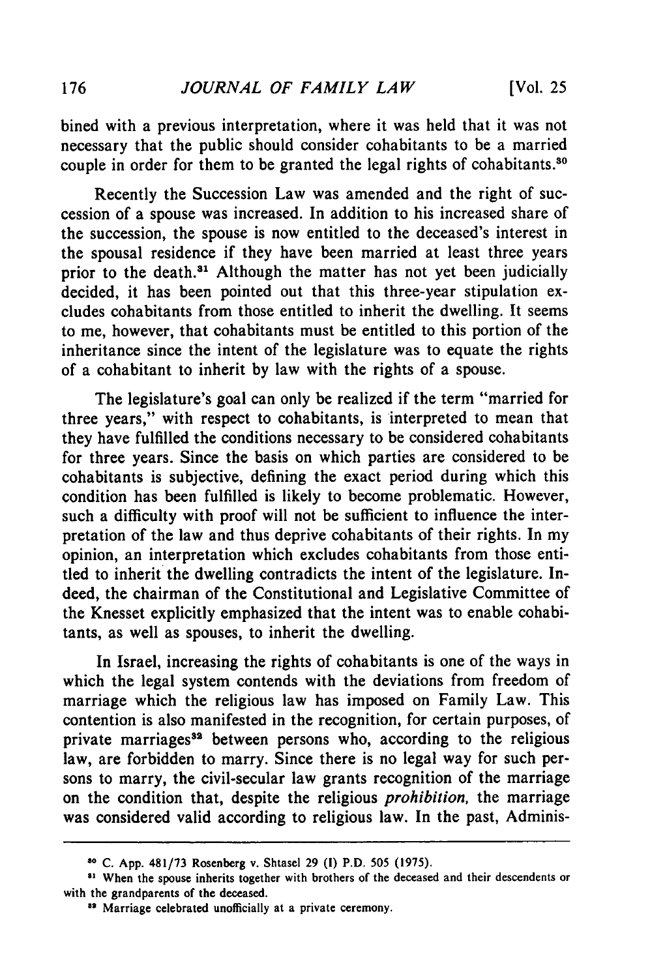bined with a previous interpretation, where it was held that it was not necessary that the public should consider cohabitants to be a married couple in order for them to be granted the legal rights of cohabitants.<sup>30</sup>

Recently the Succession Law was amended and the right of succession of a spouse was increased. In addition to his increased share of the succession, the spouse is now entitled to the deceased's interest in the spousal residence if they have been married at least three years prior to the death.<sup>31</sup> Although the matter has not yet been judicially decided, it has been pointed out that this three-year stipulation excludes cohabitants from those entitled to inherit the dwelling. It seems to me, however, that cohabitants must be entitled to this portion of the inheritance since the intent of the legislature was to equate the rights of a cohabitant to inherit by law with the rights of a spouse.

The legislature's goal can only be realized if the term "married for three years," with respect to cohabitants, is interpreted to mean that they have fulfilled the conditions necessary to be considered cohabitants for three years. Since the basis on which parties are considered to be cohabitants is subjective, defining the exact period during which this condition has been fulfilled is likely to become problematic. However, such a difficulty with proof will not be sufficient to influence the interpretation of the law and thus deprive cohabitants of their rights. In my opinion, an interpretation which excludes cohabitants from those entitled to inherit the dwelling contradicts the intent of the legislature. Indeed, the chairman of the Constitutional and Legislative Committee of the Knesset explicitly emphasized that the intent was to enable cohabitants, as well as spouses, to inherit the dwelling.

In Israel, increasing the rights of cohabitants is one of the ways in which the legal system contends with the deviations from freedom of marriage which the religious law has imposed on Family Law. This contention is also manifested in the recognition, for certain purposes, of private marriages<sup>32</sup> between persons who, according to the religious law, are forbidden to marry. Since there is no legal way for such persons to marry, the civil-secular law grants recognition of the marriage on the condition that, despite the religious *prohibition,* the marriage was considered valid according to religious law. In the past, Adminis-

**<sup>80</sup>C. App. 481/73** Rosenberg v. Shtasel **29 (I)** P.D. **505 (1975).**

<sup>&</sup>lt;sup>31</sup> When the spouse inherits together with brothers of the deceased and their descendents or with the grandparents of the deceased.

<sup>&</sup>lt;sup>32</sup> Marriage celebrated unofficially at a private ceremony.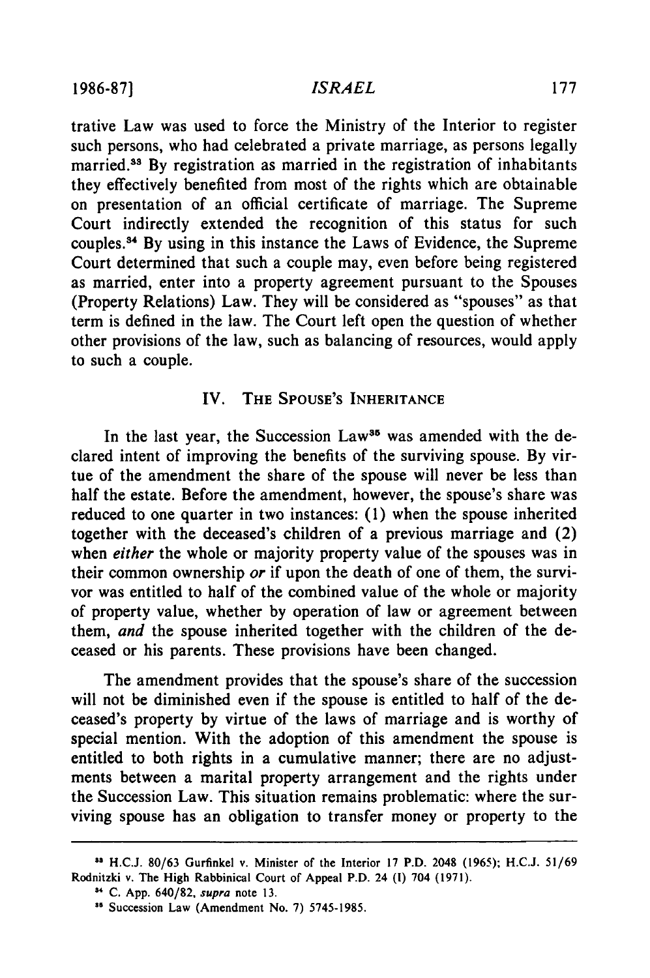**1986-87]**

#### *ISRAEL*

trative Law was used to force the Ministry of the Interior to register such persons, who had celebrated a private marriage, as persons legally married.<sup>33</sup> By registration as married in the registration of inhabitants they effectively benefited from most of the rights which are obtainable on presentation of an official certificate of marriage. The Supreme Court indirectly extended the recognition of this status for such couples." ' By using in this instance the Laws of Evidence, the Supreme Court determined that such a couple may, even before being registered as married, enter into a property agreement pursuant to the Spouses (Property Relations) Law. They will be considered as "spouses" as that term is defined in the law. The Court left open the question of whether other provisions of the law, such as balancing of resources, would apply to such a couple.

## IV. **THE SPOUSE'S** INHERITANCE

In the last year, the Succession Law<sup>35</sup> was amended with the declared intent of improving the benefits of the surviving spouse. **By** virtue of the amendment the share of the spouse will never be less than half the estate. Before the amendment, however, the spouse's share was reduced to one quarter in two instances: **(1)** when the spouse inherited together with the deceased's children of a previous marriage and (2) when *either* the whole or majority property value of the spouses was in their common ownership *or* if upon the death of one of them, the survivor was entitled to half of the combined value of the whole or majority of property value, whether **by** operation of law or agreement between them, *and* the spouse inherited together with the children of the deceased or his parents. These provisions have been changed.

The amendment provides that the spouse's share of the succession will not be diminished even if the spouse is entitled to half of the deceased's property **by** virtue of the laws of marriage and is worthy of special mention. With the adoption of this amendment the spouse is entitled to both rights in a cumulative manner; there are no adjustments between a marital property arrangement and the rights under the Succession Law. This situation remains problematic: where the surviving spouse has an obligation to transfer money or property to the

**<sup>&</sup>quot; H.C.J. 80/63** Gurfinkel v. Minister of **the** Interior **17** P.D. 2048 **(1965); H.C.J. 51/69** Rodnitzki v. **The** High Rabbinical **Court** of Appeal P.D. **24 (1) 704 (1971).**

**C. App.** 640/82, supra note **13.**

Succession Law (Amendment **No. 7) 5745-1985.**